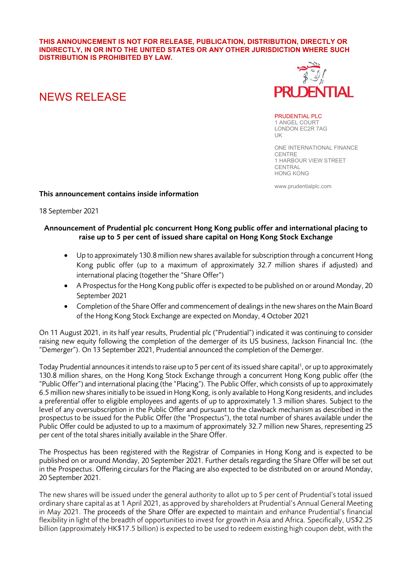#### **THIS ANNOUNCEMENT IS NOT FOR RELEASE, PUBLICATION, DISTRIBUTION, DIRECTLY OR INDIRECTLY, IN OR INTO THE UNITED STATES OR ANY OTHER JURISDICTION WHERE SUCH DISTRIBUTION IS PROHIBITED BY LAW.**

# FNTIAL.

# NEWS RELEASE

PRUDENTIAL PLC 1 ANGEL COURT LONDON EC2R 7AG  $|$   $|$ 

ONE INTERNATIONAL FINANCE **CENTRE** 1 HARBOUR VIEW STREET **CENTRAL** HONG KONG

www.prudentialplc.com

# This announcement contains inside information

# 18 September 2021

# Announcement of Prudential plc concurrent Hong Kong public offer and international placing to raise up to 5 per cent of issued share capital on Hong Kong Stock Exchange

- Up to approximately 130.8 million new shares available for subscription through a concurrent Hong Kong public offer (up to a maximum of approximately 32.7 million shares if adjusted) and international placing (together the "Share Offer")
- A Prospectus for the Hong Kong public offer is expected to be published on or around Monday, 20 September 2021
- Completion of the Share Offer and commencement of dealings in the new shares on the Main Board of the Hong Kong Stock Exchange are expected on Monday, 4 October 2021

On 11 August 2021, in its half year results, Prudential plc ("Prudential") indicated it was continuing to consider raising new equity following the completion of the demerger of its US business, Jackson Financial Inc. (the "Demerger"). On 13 September 2021, Prudential announced the completion of the Demerger.

Today Prudential announces it intends to raise up to 5 per cent of its issued share capital<sup>1</sup>, or up to approximately 130.8 million shares, on the Hong Kong Stock Exchange through a concurrent Hong Kong public offer (the "Public Offer") and international placing (the "Placing"). The Public Offer, which consists of up to approximately 6.5 million new sharesinitially to be issued in Hong Kong, is only available to Hong Kong residents, and includes a preferential offer to eligible employees and agents of up to approximately 1.3 million shares. Subject to the level of any oversubscription in the Public Offer and pursuant to the clawback mechanism as described in the prospectus to be issued for the Public Offer (the "Prospectus"), the total number of shares available under the Public Offer could be adjusted to up to a maximum of approximately 32.7 million new Shares, representing 25 per cent of the total shares initially available in the Share Offer.

The Prospectus has been registered with the Registrar of Companies in Hong Kong and is expected to be published on or around Monday, 20 September 2021. Further details regarding the Share Offer will be set out in the Prospectus. Offering circulars for the Placing are also expected to be distributed on or around Monday, 20 September 2021.

The new shares will be issued under the general authority to allot up to 5 per cent of Prudential's total issued ordinary share capital as at 1 April 2021, as approved by shareholders at Prudential's Annual General Meeting in May 2021. The proceeds of the Share Offer are expected to maintain and enhance Prudential's financial flexibility in light of the breadth of opportunities to invest for growth in Asia and Africa. Specifically, US\$2.25 billion (approximately HK\$17.5 billion) is expected to be used to redeem existing high coupon debt, with the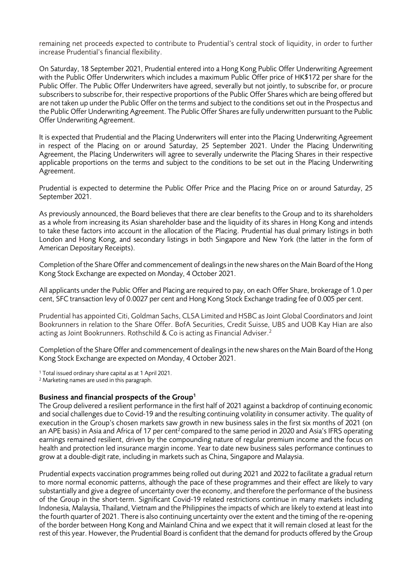remaining net proceeds expected to contribute to Prudential's central stock of liquidity, in order to further increase Prudential's financial flexibility.

On Saturday, 18 September 2021, Prudential entered into a Hong Kong Public Offer Underwriting Agreement with the Public Offer Underwriters which includes a maximum Public Offer price of HK\$172 per share for the Public Offer. The Public Offer Underwriters have agreed, severally but not jointly, to subscribe for, or procure subscribers to subscribe for, their respective proportions of the Public Offer Shares which are being offered but are not taken up under the Public Offer on the terms and subject to the conditions set out in the Prospectus and the Public Offer Underwriting Agreement. The Public Offer Shares are fully underwritten pursuant to the Public Offer Underwriting Agreement.

It is expected that Prudential and the Placing Underwriters will enter into the Placing Underwriting Agreement in respect of the Placing on or around Saturday, 25 September 2021. Under the Placing Underwriting Agreement, the Placing Underwriters will agree to severally underwrite the Placing Shares in their respective applicable proportions on the terms and subject to the conditions to be set out in the Placing Underwriting Agreement.

Prudential is expected to determine the Public Offer Price and the Placing Price on or around Saturday, 25 September 2021.

As previously announced, the Board believes that there are clear benefits to the Group and to its shareholders as a whole from increasing its Asian shareholder base and the liquidity of its shares in Hong Kong and intends to take these factors into account in the allocation of the Placing. Prudential has dual primary listings in both London and Hong Kong, and secondary listings in both Singapore and New York (the latter in the form of American Depositary Receipts).

Completion of the Share Offer and commencement of dealings in the new shares on the Main Board of the Hong Kong Stock Exchange are expected on Monday, 4 October 2021.

All applicants under the Public Offer and Placing are required to pay, on each Offer Share, brokerage of 1.0 per cent, SFC transaction levy of 0.0027 per cent and Hong Kong Stock Exchange trading fee of 0.005 per cent.

Prudential has appointed Citi, Goldman Sachs, CLSA Limited and HSBC as Joint Global Coordinators and Joint Bookrunners in relation to the Share Offer. BofA Securities, Credit Suisse, UBS and UOB Kay Hian are also acting as Joint Bookrunners. Rothschild & Co is acting as Financial Adviser. 2

Completion of the Share Offer and commencement of dealings in the new shares on the Main Board of the Hong Kong Stock Exchange are expected on Monday, 4 October 2021.

<sup>1</sup> Total issued ordinary share capital as at 1 April 2021.

<sup>2</sup> Marketing names are used in this paragraph.

#### Business and financial prospects of the Group1

The Group delivered a resilient performance in the first half of 2021 against a backdrop of continuing economic and social challenges due to Covid-19 and the resulting continuing volatility in consumer activity. The quality of execution in the Group's chosen markets saw growth in new business sales in the first six months of 2021 (on an APE basis) in Asia and Africa of 17 per cent<sup>2</sup> compared to the same period in 2020 and Asia's IFRS operating earnings remained resilient, driven by the compounding nature of regular premium income and the focus on health and protection led insurance margin income. Year to date new business sales performance continues to grow at a double-digit rate, including in markets such as China, Singapore and Malaysia.

Prudential expects vaccination programmes being rolled out during 2021 and 2022 to facilitate a gradual return to more normal economic patterns, although the pace of these programmes and their effect are likely to vary substantially and give a degree of uncertainty over the economy, and therefore the performance of the business of the Group in the short-term. Significant Covid-19 related restrictions continue in many markets including Indonesia, Malaysia, Thailand, Vietnam and the Philippines the impacts of which are likely to extend at least into the fourth quarter of 2021. There is also continuing uncertainty over the extent and the timing of the re-opening of the border between Hong Kong and Mainland China and we expect that it will remain closed at least for the rest of this year. However, the Prudential Board is confident that the demand for products offered by the Group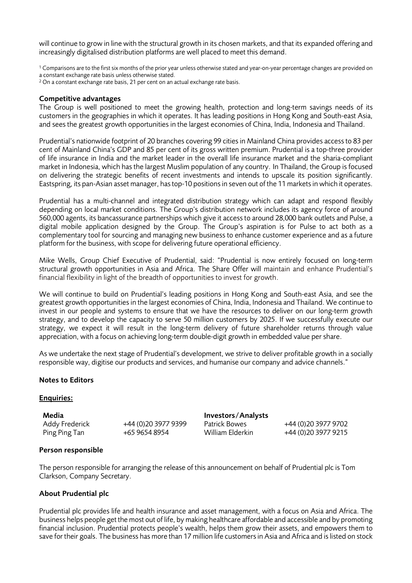will continue to grow in line with the structural growth in its chosen markets, and that its expanded offering and increasingly digitalised distribution platforms are well placed to meet this demand.

 $1$  Comparisons are to the first six months of the prior year unless otherwise stated and year-on-year percentage changes are provided on a constant exchange rate basis unless otherwise stated.

<sup>2</sup> On a constant exchange rate basis, 21 per cent on an actual exchange rate basis.

#### Competitive advantages

The Group is well positioned to meet the growing health, protection and long-term savings needs of its customers in the geographies in which it operates. It has leading positions in Hong Kong and South-east Asia, and sees the greatest growth opportunities in the largest economies of China, India, Indonesia and Thailand.

Prudential's nationwide footprint of 20 branches covering 99 cities in Mainland China provides access to 83 per cent of Mainland China's GDP and 85 per cent of its gross written premium. Prudential is a top-three provider of life insurance in India and the market leader in the overall life insurance market and the sharia-compliant market in Indonesia, which has the largest Muslim population of any country. In Thailand, the Group is focused on delivering the strategic benefits of recent investments and intends to upscale its position significantly. Eastspring, its pan-Asian asset manager, has top-10 positions in seven out of the 11 markets in which it operates.

Prudential has a multi-channel and integrated distribution strategy which can adapt and respond flexibly depending on local market conditions. The Group's distribution network includes its agency force of around 560,000 agents, its bancassurance partnerships which give it access to around 28,000 bank outlets and Pulse, a digital mobile application designed by the Group. The Group's aspiration is for Pulse to act both as a complementary tool for sourcing and managing new business to enhance customer experience and as a future platform for the business, with scope for delivering future operational efficiency.

Mike Wells, Group Chief Executive of Prudential, said: "Prudential is now entirely focused on long-term structural growth opportunities in Asia and Africa. The Share Offer will maintain and enhance Prudential's financial flexibility in light of the breadth of opportunities to invest for growth.

We will continue to build on Prudential's leading positions in Hong Kong and South-east Asia, and see the greatest growth opportunities in the largest economies of China, India, Indonesia and Thailand. We continue to invest in our people and systems to ensure that we have the resources to deliver on our long-term growth strategy, and to develop the capacity to serve 50 million customers by 2025. If we successfully execute our strategy, we expect it will result in the long-term delivery of future shareholder returns through value appreciation, with a focus on achieving long-term double-digit growth in embedded value per share.

As we undertake the next stage of Prudential's development, we strive to deliver profitable growth in a socially responsible way, digitise our products and services, and humanise our company and advice channels."

#### Notes to Editors

#### Enquiries:

Media **Investors/Analysts** Addy Frederick +44 (0)20 3977 9399 Patrick Bowes +44 (0)20 3977 9702<br>Ping Ping Tan +65 9654 8954 William Elderkin +44 (0)20 3977 9215

+44 (0)20 3977 9215

#### Person responsible

The person responsible for arranging the release of this announcement on behalf of Prudential plc is Tom Clarkson, Company Secretary.

#### About Prudential plc

Prudential plc provides life and health insurance and asset management, with a focus on Asia and Africa. The business helps people get the most out of life, by making healthcare affordable and accessible and by promoting financial inclusion. Prudential protects people's wealth, helps them grow their assets, and empowers them to save for their goals. The business has more than 17 million life customers in Asia and Africa and is listed on stock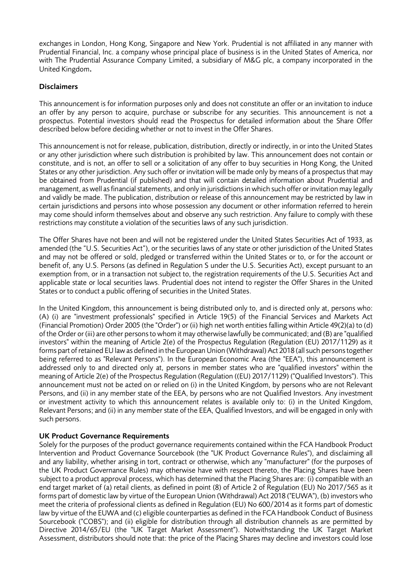exchanges in London, Hong Kong, Singapore and New York. Prudential is not affiliated in any manner with Prudential Financial, Inc. a company whose principal place of business is in the United States of America, nor with The Prudential Assurance Company Limited, a subsidiary of M&G plc, a company incorporated in the United Kingdom.

# Disclaimers

This announcement is for information purposes only and does not constitute an offer or an invitation to induce an offer by any person to acquire, purchase or subscribe for any securities. This announcement is not a prospectus. Potential investors should read the Prospectus for detailed information about the Share Offer described below before deciding whether or not to invest in the Offer Shares.

This announcement is not for release, publication, distribution, directly or indirectly, in or into the United States or any other jurisdiction where such distribution is prohibited by law. This announcement does not contain or constitute, and is not, an offer to sell or a solicitation of any offer to buy securities in Hong Kong, the United States or any other jurisdiction. Any such offer or invitation will be made only by means of a prospectus that may be obtained from Prudential (if published) and that will contain detailed information about Prudential and management, as well as financial statements, and only in jurisdictions in which such offer or invitation may legally and validly be made. The publication, distribution or release of this announcement may be restricted by law in certain jurisdictions and persons into whose possession any document or other information referred to herein may come should inform themselves about and observe any such restriction. Any failure to comply with these restrictions may constitute a violation of the securities laws of any such jurisdiction.

The Offer Shares have not been and will not be registered under the United States Securities Act of 1933, as amended (the "U.S. Securities Act"), or the securities laws of any state or other jurisdiction of the United States and may not be offered or sold, pledged or transferred within the United States or to, or for the account or benefit of, any U.S. Persons (as defined in Regulation S under the U.S. Securities Act), except pursuant to an exemption from, or in a transaction not subject to, the registration requirements of the U.S. Securities Act and applicable state or local securities laws. Prudential does not intend to register the Offer Shares in the United States or to conduct a public offering of securities in the United States.

In the United Kingdom, this announcement is being distributed only to, and is directed only at, persons who: (A) (i) are "investment professionals" specified in Article 19(5) of the Financial Services and Markets Act (Financial Promotion) Order 2005 (the "Order") or (ii) high net worth entities falling within Article 49(2)(a) to (d) of the Order or (iii) are other persons to whom it may otherwise lawfully be communicated; and (B) are "qualified investors" within the meaning of Article 2(e) of the Prospectus Regulation (Regulation (EU) 2017/1129) as it forms part of retained EU law as defined in the European Union (Withdrawal) Act 2018 (all such persons together being referred to as "Relevant Persons"). In the European Economic Area (the "EEA"), this announcement is addressed only to and directed only at, persons in member states who are "qualified investors" within the meaning of Article 2(e) of the Prospectus Regulation (Regulation ((EU) 2017/1129) ("Qualified Investors"). This announcement must not be acted on or relied on (i) in the United Kingdom, by persons who are not Relevant Persons, and (ii) in any member state of the EEA, by persons who are not Qualified Investors. Any investment or investment activity to which this announcement relates is available only to: (i) in the United Kingdom, Relevant Persons; and (ii) in any member state of the EEA, Qualified Investors, and will be engaged in only with such persons.

# UK Product Governance Requirements

Solely for the purposes of the product governance requirements contained within the FCA Handbook Product Intervention and Product Governance Sourcebook (the "UK Product Governance Rules"), and disclaiming all and any liability, whether arising in tort, contract or otherwise, which any "manufacturer" (for the purposes of the UK Product Governance Rules) may otherwise have with respect thereto, the Placing Shares have been subject to a product approval process, which has determined that the Placing Shares are: (i) compatible with an end target market of (a) retail clients, as defined in point (8) of Article 2 of Regulation (EU) No 2017/565 as it forms part of domestic law by virtue of the European Union (Withdrawal) Act 2018 ("EUWA"), (b) investors who meet the criteria of professional clients as defined in Regulation (EU) No 600/2014 as it forms part of domestic law by virtue of the EUWA and (c) eligible counterparties as defined in the FCA Handbook Conduct of Business Sourcebook ("COBS"); and (ii) eligible for distribution through all distribution channels as are permitted by Directive 2014/65/EU (the "UK Target Market Assessment"). Notwithstanding the UK Target Market Assessment, distributors should note that: the price of the Placing Shares may decline and investors could lose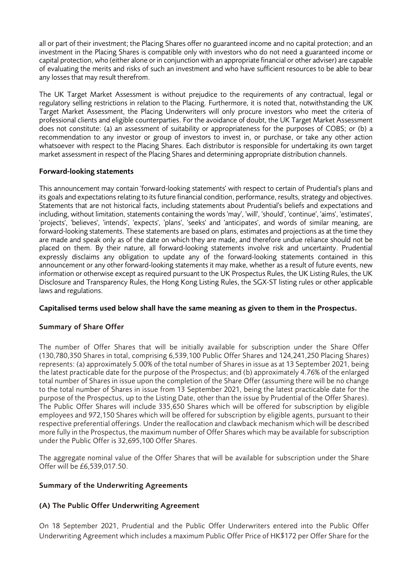all or part of their investment; the Placing Shares offer no guaranteed income and no capital protection; and an investment in the Placing Shares is compatible only with investors who do not need a guaranteed income or capital protection, who (either alone or in conjunction with an appropriate financial or other adviser) are capable of evaluating the merits and risks of such an investment and who have sufficient resources to be able to bear any losses that may result therefrom.

The UK Target Market Assessment is without prejudice to the requirements of any contractual, legal or regulatory selling restrictions in relation to the Placing. Furthermore, it is noted that, notwithstanding the UK Target Market Assessment, the Placing Underwriters will only procure investors who meet the criteria of professional clients and eligible counterparties. For the avoidance of doubt, the UK Target Market Assessment does not constitute: (a) an assessment of suitability or appropriateness for the purposes of COBS; or (b) a recommendation to any investor or group of investors to invest in, or purchase, or take any other action whatsoever with respect to the Placing Shares. Each distributor is responsible for undertaking its own target market assessment in respect of the Placing Shares and determining appropriate distribution channels.

# Forward-looking statements

This announcement may contain 'forward-looking statements' with respect to certain of Prudential's plans and its goals and expectations relating to its future financial condition, performance, results, strategy and objectives. Statements that are not historical facts, including statements about Prudential's beliefs and expectations and including, without limitation, statements containing the words 'may', 'will', 'should', 'continue', 'aims', 'estimates', 'projects', 'believes', 'intends', 'expects', 'plans', 'seeks' and 'anticipates', and words of similar meaning, are forward-looking statements. These statements are based on plans, estimates and projections as at the time they are made and speak only as of the date on which they are made, and therefore undue reliance should not be placed on them. By their nature, all forward-looking statements involve risk and uncertainty. Prudential expressly disclaims any obligation to update any of the forward-looking statements contained in this announcement or any other forward-looking statements it may make, whether as a result of future events, new information or otherwise except as required pursuant to the UK Prospectus Rules, the UK Listing Rules, the UK Disclosure and Transparency Rules, the Hong Kong Listing Rules, the SGX-ST listing rules or other applicable laws and regulations.

#### Capitalised terms used below shall have the same meaning as given to them in the Prospectus.

# Summary of Share Offer

The number of Offer Shares that will be initially available for subscription under the Share Offer (130,780,350 Shares in total, comprising 6,539,100 Public Offer Shares and 124,241,250 Placing Shares) represents: (a) approximately 5.00% of the total number of Shares in issue as at 13 September 2021, being the latest practicable date for the purpose of the Prospectus; and (b) approximately 4.76% of the enlarged total number of Shares in issue upon the completion of the Share Offer (assuming there will be no change to the total number of Shares in issue from 13 September 2021, being the latest practicable date for the purpose of the Prospectus, up to the Listing Date, other than the issue by Prudential of the Offer Shares). The Public Offer Shares will include 335,650 Shares which will be offered for subscription by eligible employees and 972,150 Shares which will be offered for subscription by eligible agents, pursuant to their respective preferential offerings. Under the reallocation and clawback mechanism which will be described more fully in the Prospectus, the maximum number of Offer Shares which may be available for subscription under the Public Offer is 32,695,100 Offer Shares.

The aggregate nominal value of the Offer Shares that will be available for subscription under the Share Offer will be £6,539,017.50.

# Summary of the Underwriting Agreements

# (A) The Public Offer Underwriting Agreement

On 18 September 2021, Prudential and the Public Offer Underwriters entered into the Public Offer Underwriting Agreement which includes a maximum Public Offer Price of HK\$172 per Offer Share for the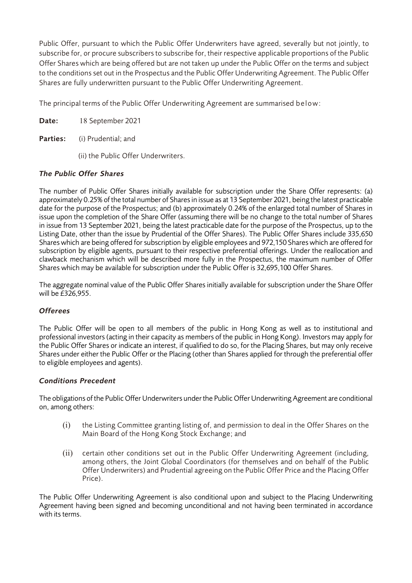Public Offer, pursuant to which the Public Offer Underwriters have agreed, severally but not jointly, to subscribe for, or procure subscribers to subscribe for, their respective applicable proportions of the Public Offer Shares which are being offered but are not taken up under the Public Offer on the terms and subject to the conditions set out in the Prospectus and the Public Offer Underwriting Agreement. The Public Offer Shares are fully underwritten pursuant to the Public Offer Underwriting Agreement.

The principal terms of the Public Offer Underwriting Agreement are summarised below:

| Date: | 18 September 2021 |  |
|-------|-------------------|--|
|-------|-------------------|--|

Parties: (i) Prudential; and

(ii) the Public Offer Underwriters.

# *The Public Offer Shares*

The number of Public Offer Shares initially available for subscription under the Share Offer represents: (a) approximately 0.25% of the total number of Shares in issue as at 13 September 2021, being the latest practicable date for the purpose of the Prospectus; and (b) approximately 0.24% of the enlarged total number of Shares in issue upon the completion of the Share Offer (assuming there will be no change to the total number of Shares in issue from 13 September 2021, being the latest practicable date for the purpose of the Prospectus, up to the Listing Date, other than the issue by Prudential of the Offer Shares). The Public Offer Shares include 335,650 Shares which are being offered for subscription by eligible employees and 972,150 Shares which are offered for subscription by eligible agents, pursuant to their respective preferential offerings. Under the reallocation and clawback mechanism which will be described more fully in the Prospectus, the maximum number of Offer Shares which may be available for subscription under the Public Offer is 32,695,100 Offer Shares.

The aggregate nominal value of the Public Offer Shares initially available for subscription under the Share Offer will be £326,955.

# *Offerees*

The Public Offer will be open to all members of the public in Hong Kong as well as to institutional and professional investors (acting in their capacity as members of the public in Hong Kong). Investors may apply for the Public Offer Shares or indicate an interest, if qualified to do so, for the Placing Shares, but may only receive Shares under either the Public Offer or the Placing (other than Shares applied for through the preferential offer to eligible employees and agents).

# *Conditions Precedent*

The obligations of the Public Offer Underwriters under the Public Offer Underwriting Agreement are conditional on, among others:

- (i) the Listing Committee granting listing of, and permission to deal in the Offer Shares on the Main Board of the Hong Kong Stock Exchange; and
- (ii) certain other conditions set out in the Public Offer Underwriting Agreement (including, among others, the Joint Global Coordinators (for themselves and on behalf of the Public Offer Underwriters) and Prudential agreeing on the Public Offer Price and the Placing Offer Price).

The Public Offer Underwriting Agreement is also conditional upon and subject to the Placing Underwriting Agreement having been signed and becoming unconditional and not having been terminated in accordance with its terms.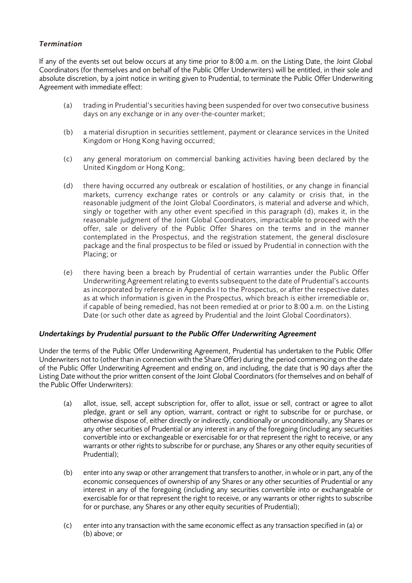# *Termination*

If any of the events set out below occurs at any time prior to 8:00 a.m. on the Listing Date, the Joint Global Coordinators (for themselves and on behalf of the Public Offer Underwriters) will be entitled, in their sole and absolute discretion, by a joint notice in writing given to Prudential, to terminate the Public Offer Underwriting Agreement with immediate effect:

- (a) trading in Prudential's securities having been suspended for over two consecutive business days on any exchange or in any over-the-counter market;
- (b) a material disruption in securities settlement, payment or clearance services in the United Kingdom or Hong Kong having occurred;
- (c) any general moratorium on commercial banking activities having been declared by the United Kingdom or Hong Kong;
- (d) there having occurred any outbreak or escalation of hostilities, or any change in financial markets, currency exchange rates or controls or any calamity or crisis that, in the reasonable judgment of the Joint Global Coordinators, is material and adverse and which, singly or together with any other event specified in this paragraph (d), makes it, in the reasonable judgment of the Joint Global Coordinators, impracticable to proceed with the offer, sale or delivery of the Public Offer Shares on the terms and in the manner contemplated in the Prospectus, and the registration statement, the general disclosure package and the final prospectus to be filed or issued by Prudential in connection with the Placing; or
- (e) there having been a breach by Prudential of certain warranties under the Public Offer Underwriting Agreement relating to events subsequent to the date of Prudential's accounts as incorporated by reference in Appendix I to the Prospectus, or after the respective dates as at which information is given in the Prospectus, which breach is either irremediable or, if capable of being remedied, has not been remedied at or prior to 8:00 a.m. on the Listing Date (or such other date as agreed by Prudential and the Joint Global Coordinators).

# *Undertakings by Prudential pursuant to the Public Offer Underwriting Agreement*

Under the terms of the Public Offer Underwriting Agreement, Prudential has undertaken to the Public Offer Underwriters not to (other than in connection with the Share Offer) during the period commencing on the date of the Public Offer Underwriting Agreement and ending on, and including, the date that is 90 days after the Listing Date without the prior written consent of the Joint Global Coordinators (for themselves and on behalf of the Public Offer Underwriters):

- (a) allot, issue, sell, accept subscription for, offer to allot, issue or sell, contract or agree to allot pledge, grant or sell any option, warrant, contract or right to subscribe for or purchase, or otherwise dispose of, either directly or indirectly, conditionally or unconditionally, any Shares or any other securities of Prudential or any interest in any of the foregoing (including any securities convertible into or exchangeable or exercisable for or that represent the right to receive, or any warrants or other rights to subscribe for or purchase, any Shares or any other equity securities of Prudential);
- (b) enter into any swap or other arrangement that transfers to another, in whole or in part, any of the economic consequences of ownership of any Shares or any other securities of Prudential or any interest in any of the foregoing (including any securities convertible into or exchangeable or exercisable for or that represent the right to receive, or any warrants or other rights to subscribe for or purchase, any Shares or any other equity securities of Prudential);
- (c) enter into any transaction with the same economic effect as any transaction specified in (a) or (b) above; or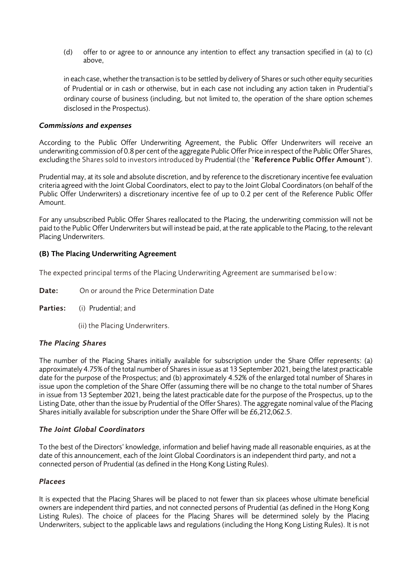(d) offer to or agree to or announce any intention to effect any transaction specified in (a) to (c) above,

in each case, whether the transaction is to be settled by delivery of Shares or such other equity securities of Prudential or in cash or otherwise, but in each case not including any action taken in Prudential's ordinary course of business (including, but not limited to, the operation of the share option schemes disclosed in the Prospectus).

#### *Commissions and expenses*

According to the Public Offer Underwriting Agreement, the Public Offer Underwriters will receive an underwriting commission of 0.8 per cent of the aggregate Public Offer Price in respect of the Public Offer Shares, excluding the Shares sold to investors introduced by Prudential (the "Reference Public Offer Amount").

Prudential may, at its sole and absolute discretion, and by reference to the discretionary incentive fee evaluation criteria agreed with the Joint Global Coordinators, elect to pay to the Joint Global Coordinators (on behalf of the Public Offer Underwriters) a discretionary incentive fee of up to 0.2 per cent of the Reference Public Offer Amount.

For any unsubscribed Public Offer Shares reallocated to the Placing, the underwriting commission will not be paid to the Public Offer Underwriters but will instead be paid, at the rate applicable to the Placing, to the relevant Placing Underwriters.

#### (B) The Placing Underwriting Agreement

The expected principal terms of the Placing Underwriting Agreement are summarised below:

**Date:** On or around the Price Determination Date

- Parties: (i) Prudential; and
	- (ii) the Placing Underwriters.

#### *The Placing Shares*

The number of the Placing Shares initially available for subscription under the Share Offer represents: (a) approximately 4.75% of the total number of Shares in issue as at 13 September 2021, being the latest practicable date for the purpose of the Prospectus; and (b) approximately 4.52% of the enlarged total number of Shares in issue upon the completion of the Share Offer (assuming there will be no change to the total number of Shares in issue from 13 September 2021, being the latest practicable date for the purpose of the Prospectus, up to the Listing Date, other than the issue by Prudential of the Offer Shares). The aggregate nominal value of the Placing Shares initially available for subscription under the Share Offer will be £6,212,062.5.

#### *The Joint Global Coordinators*

To the best of the Directors' knowledge, information and belief having made all reasonable enquiries, as at the date of this announcement, each of the Joint Global Coordinators is an independent third party, and not a connected person of Prudential (as defined in the Hong Kong Listing Rules).

#### *Placees*

It is expected that the Placing Shares will be placed to not fewer than six placees whose ultimate beneficial owners are independent third parties, and not connected persons of Prudential (as defined in the Hong Kong Listing Rules). The choice of placees for the Placing Shares will be determined solely by the Placing Underwriters, subject to the applicable laws and regulations (including the Hong Kong Listing Rules). It is not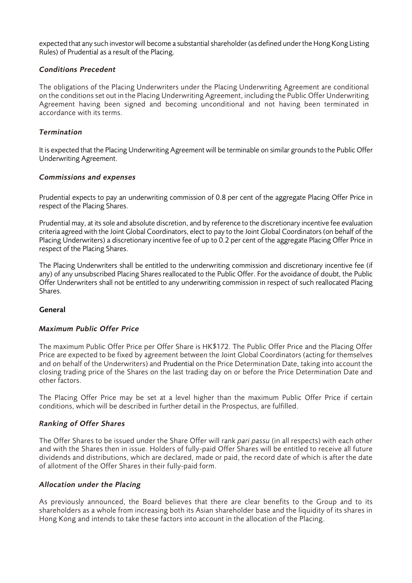expected that any such investor will become a substantial shareholder (as defined under the Hong Kong Listing Rules) of Prudential as a result of the Placing.

#### *Conditions Precedent*

The obligations of the Placing Underwriters under the Placing Underwriting Agreement are conditional on the conditions set out in the Placing Underwriting Agreement, including the Public Offer Underwriting Agreement having been signed and becoming unconditional and not having been terminated in accordance with its terms.

#### *Termination*

It is expected that the Placing Underwriting Agreement will be terminable on similar grounds to the Public Offer Underwriting Agreement.

#### *Commissions and expenses*

Prudential expects to pay an underwriting commission of 0.8 per cent of the aggregate Placing Offer Price in respect of the Placing Shares.

Prudential may, at its sole and absolute discretion, and by reference to the discretionary incentive fee evaluation criteria agreed with the Joint Global Coordinators, elect to pay to the Joint Global Coordinators (on behalf of the Placing Underwriters) a discretionary incentive fee of up to 0.2 per cent of the aggregate Placing Offer Price in respect of the Placing Shares.

The Placing Underwriters shall be entitled to the underwriting commission and discretionary incentive fee (if any) of any unsubscribed Placing Shares reallocated to the Public Offer. For the avoidance of doubt, the Public Offer Underwriters shall not be entitled to any underwriting commission in respect of such reallocated Placing Shares.

# General

#### *Maximum Public Offer Price*

The maximum Public Offer Price per Offer Share is HK\$172. The Public Offer Price and the Placing Offer Price are expected to be fixed by agreement between the Joint Global Coordinators (acting for themselves and on behalf of the Underwriters) and Prudential on the Price Determination Date, taking into account the closing trading price of the Shares on the last trading day on or before the Price Determination Date and other factors.

The Placing Offer Price may be set at a level higher than the maximum Public Offer Price if certain conditions, which will be described in further detail in the Prospectus, are fulfilled.

# *Ranking of Offer Shares*

The Offer Shares to be issued under the Share Offer will rank *pari passu* (in all respects) with each other and with the Shares then in issue. Holders of fully-paid Offer Shares will be entitled to receive all future dividends and distributions, which are declared, made or paid, the record date of which is after the date of allotment of the Offer Shares in their fully-paid form.

# *Allocation under the Placing*

As previously announced, the Board believes that there are clear benefits to the Group and to its shareholders as a whole from increasing both its Asian shareholder base and the liquidity of its shares in Hong Kong and intends to take these factors into account in the allocation of the Placing.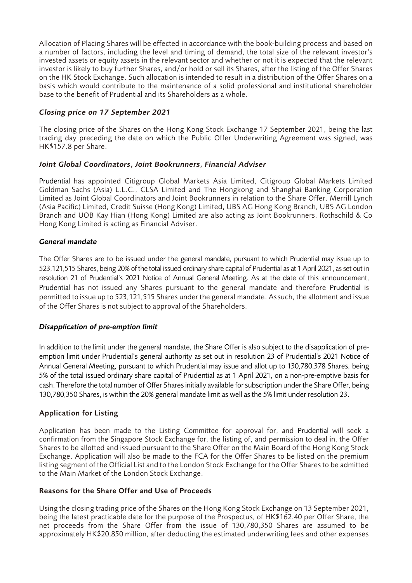Allocation of Placing Shares will be effected in accordance with the book-building process and based on a number of factors, including the level and timing of demand, the total size of the relevant investor's invested assets or equity assets in the relevant sector and whether or not it is expected that the relevant investor is likely to buy further Shares, and/or hold or sell its Shares, after the listing of the Offer Shares on the HK Stock Exchange. Such allocation is intended to result in a distribution of the Offer Shares on a basis which would contribute to the maintenance of a solid professional and institutional shareholder base to the benefit of Prudential and its Shareholders as a whole.

# *Closing price on 17 September 2021*

The closing price of the Shares on the Hong Kong Stock Exchange 17 September 2021, being the last trading day preceding the date on which the Public Offer Underwriting Agreement was signed, was HK\$157.8 per Share.

# *Joint Global Coordinators, Joint Bookrunners, Financial Adviser*

Prudential has appointed Citigroup Global Markets Asia Limited, Citigroup Global Markets Limited Goldman Sachs (Asia) L.L.C., CLSA Limited and The Hongkong and Shanghai Banking Corporation Limited as Joint Global Coordinators and Joint Bookrunners in relation to the Share Offer. Merrill Lynch (Asia Pacific) Limited, Credit Suisse (Hong Kong) Limited, UBS AG Hong Kong Branch, UBS AG London Branch and UOB Kay Hian (Hong Kong) Limited are also acting as Joint Bookrunners. Rothschild & Co Hong Kong Limited is acting as Financial Adviser.

# *General mandate*

The Offer Shares are to be issued under the general mandate, pursuant to which Prudential may issue up to 523,121,515 Shares, being 20% of the total issued ordinary share capital of Prudential as at 1 April 2021, as set out in resolution 21 of Prudential's 2021 Notice of Annual General Meeting. As at the date of this announcement, Prudential has not issued any Shares pursuant to the general mandate and therefore Prudential is permitted to issue up to 523,121,515 Shares under the general mandate. Assuch, the allotment and issue of the Offer Shares is not subject to approval of the Shareholders.

# *Disapplication of pre-emption limit*

In addition to the limit under the general mandate, the Share Offer is also subject to the disapplication of preemption limit under Prudential's general authority as set out in resolution 23 of Prudential's 2021 Notice of Annual General Meeting, pursuant to which Prudential may issue and allot up to 130,780,378 Shares, being 5% of the total issued ordinary share capital of Prudential as at 1 April 2021, on a non-pre-emptive basis for cash. Therefore the total number of Offer Shares initially available for subscription under the Share Offer, being 130,780,350 Shares, is within the 20% general mandate limit as well as the 5% limit under resolution 23.

# Application for Listing

Application has been made to the Listing Committee for approval for, and Prudential will seek a confirmation from the Singapore Stock Exchange for, the listing of, and permission to deal in, the Offer Shares to be allotted and issued pursuant to the Share Offer on the Main Board of the Hong Kong Stock Exchange. Application will also be made to the FCA for the Offer Shares to be listed on the premium listing segment of the Official List and to the London Stock Exchange for the Offer Shares to be admitted to the Main Market of the London Stock Exchange.

# Reasons for the Share Offer and Use of Proceeds

Using the closing trading price of the Shares on the Hong Kong Stock Exchange on 13 September 2021, being the latest practicable date for the purpose of the Prospectus, of HK\$162.40 per Offer Share, the net proceeds from the Share Offer from the issue of 130,780,350 Shares are assumed to be approximately HK\$20,850 million, after deducting the estimated underwriting fees and other expenses